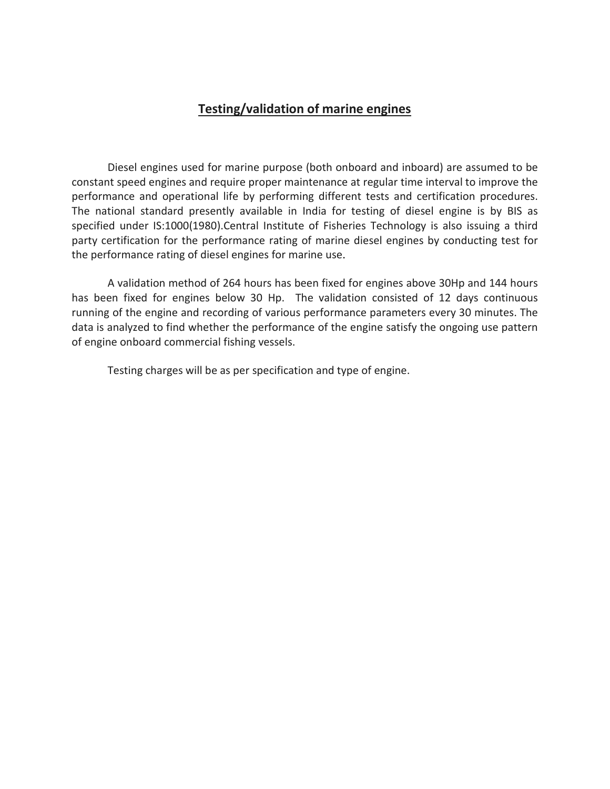## **Testing/validation of marine engines**

Diesel engines used for marine purpose (both onboard and inboard) are assumed to be constant speed engines and require proper maintenance at regular time interval to improve the performance and operational life by performing different tests and certification procedures. The national standard presently available in India for testing of diesel engine is by BIS as specified under IS:1000(1980).Central Institute of Fisheries Technology is also issuing a third party certification for the performance rating of marine diesel engines by conducting test for the performance rating of diesel engines for marine use.

A validation method of 264 hours has been fixed for engines above 30Hp and 144 hours has been fixed for engines below 30 Hp. The validation consisted of 12 days continuous running of the engine and recording of various performance parameters every 30 minutes. The data is analyzed to find whether the performance of the engine satisfy the ongoing use pattern of engine onboard commercial fishing vessels.

Testing charges will be as per specification and type of engine.